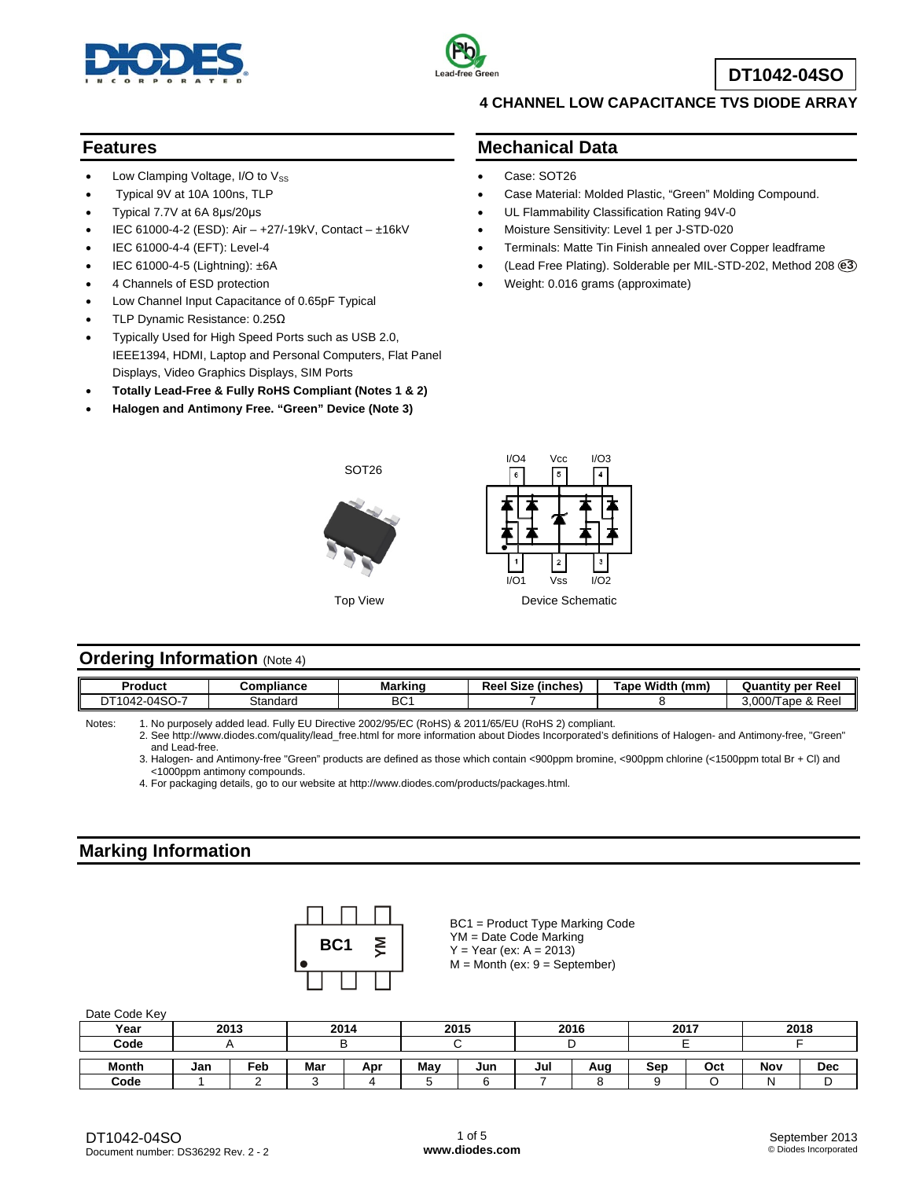



**DT1042-04SO**

### **Features**

- Low Clamping Voltage,  $I/O$  to  $V_{SS}$
- Typical 9V at 10A 100ns, TLP
- Typical 7.7V at 6A 8μs/20μs
- IEC 61000-4-2 (ESD): Air +27/-19kV, Contact ±16kV
- IEC 61000-4-4 (EFT): Level-4
- IEC 61000-4-5 (Lightning): ±6A
- 4 Channels of ESD protection
- Low Channel Input Capacitance of 0.65pF Typical
- TLP Dynamic Resistance: 0.25Ω
- Typically Used for High Speed Ports such as USB 2.0, IEEE1394, HDMI, Laptop and Personal Computers, Flat Panel Displays, Video Graphics Displays, SIM Ports
- **Totally Lead-Free & Fully RoHS Compliant (Notes 1 & 2)**
- **Halogen and Antimony Free. "Green" Device (Note 3)**

## **4 CHANNEL LOW CAPACITANCE TVS DIODE ARRAY**

### **Mechanical Data**

- Case: SOT26
- Case Material: Molded Plastic, "Green" Molding Compound.
- UL Flammability Classification Rating 94V-0
- Moisture Sensitivity: Level 1 per J-STD-020
- Terminals: Matte Tin Finish annealed over Copper leadframe
- (Lead Free Plating). Solderable per MIL-STD-202, Method 208 **e3**
- Weight: 0.016 grams (approximate)



## **Ordering Information** (Note 4)

| Product               | Compliance | <b>Marking</b>  | $\overline{\phantom{a}}$<br>Reel Size<br>(inches) | Width<br><b>Tape</b><br>(mm) | <b>Quantity per Reel</b>              |
|-----------------------|------------|-----------------|---------------------------------------------------|------------------------------|---------------------------------------|
| $2-04SO-7$<br>DT1042- | Standard   | BC <sup>.</sup> |                                                   |                              | & Reel<br>≀מחח כ<br>l ape i<br>J.UUU/ |

Notes: 1. No purposely added lead. Fully EU Directive 2002/95/EC (RoHS) & 2011/65/EU (RoHS 2) compliant.

 2. See [http://www.diodes.com/quality/lead\\_free.html fo](http://www.diodes.com/quality/lead_free.html)r more information about Diodes Incorporated's definitions of Halogen- and Antimony-free, "Green" and Lead-free.

 3. Halogen- and Antimony-free "Green" products are defined as those which contain <900ppm bromine, <900ppm chlorine (<1500ppm total Br + Cl) and <1000ppm antimony compounds.

4. For packaging details, go to our website at [http://www.diodes.com/products/packages.html.](http://www.diodes.com/products/packages.html) 

## **Marking Information**

|  | BC <sub>1</sub> | ξ |
|--|-----------------|---|
|  |                 |   |

BC1 = Product Type Marking Code YM = Date Code Marking  $Y = Year (ex: A = 2013)$  $M =$  Month (ex:  $9 =$  September)

| Year         | 2013 |     | 2014 |     | 2015 |     |     | 2016 | 2017 |     |     | 2018       |
|--------------|------|-----|------|-----|------|-----|-----|------|------|-----|-----|------------|
| Code         |      |     |      |     |      |     |     |      |      |     |     |            |
| <b>Month</b> | Jan  | Feb | Mar  | Apr | Mav  | Jun | Jul | Aug  | Sep  | Oct | Nov | <b>Dec</b> |
| Code         |      |     |      |     |      |     |     |      |      |     |     |            |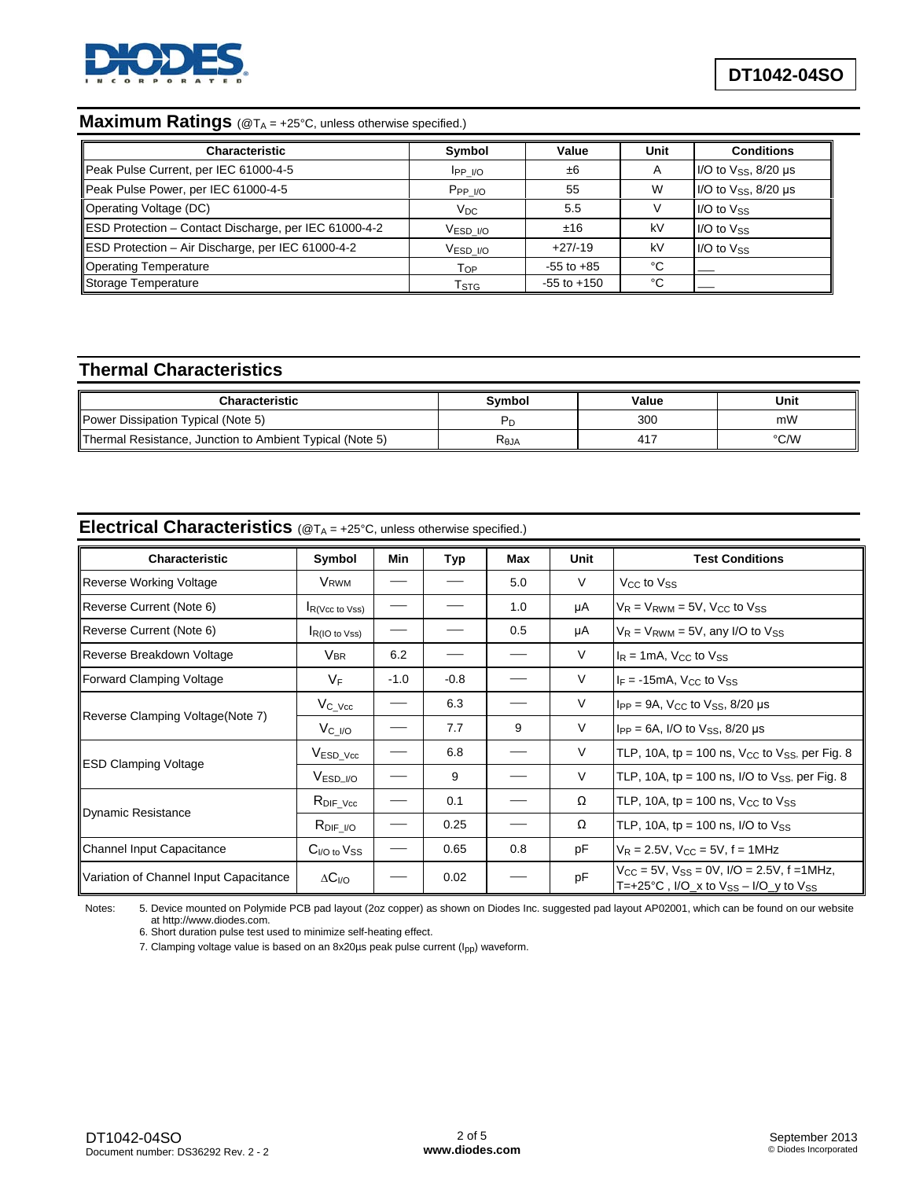

# **Maximum Ratings** (@TA = +25°C, unless otherwise specified.)

| <b>Characteristic</b>                                 | Symbol                    | Value           | Unit | <b>Conditions</b>                         |
|-------------------------------------------------------|---------------------------|-----------------|------|-------------------------------------------|
| Peak Pulse Current, per IEC 61000-4-5                 | $IPP$ I/O                 | ±6              |      | $1/O$ to $V_{SS}$ , 8/20 µs               |
| Peak Pulse Power, per IEC 61000-4-5                   | PPP WQ                    | 55              | W    | I/O to $V$ <sub>SS</sub> , $8/20$ $\mu$ s |
| Operating Voltage (DC)                                | $V_{DC}$                  | 5.5             |      | $I/O$ to $V_{SS}$                         |
| ESD Protection - Contact Discharge, per IEC 61000-4-2 | $VESD$ $VO$               | ±16             | kV   | $I/O$ to $V_{SS}$                         |
| ESD Protection - Air Discharge, per IEC 61000-4-2     | $VESD$ $VO$               | $+27/19$        | kV   | $I/O$ to $V_{SS}$                         |
| Operating Temperature                                 | $T_{OP}$                  | $-55$ to $+85$  | °C   |                                           |
| Storage Temperature                                   | $\mathsf{T}_{\text{STG}}$ | $-55$ to $+150$ | °C   |                                           |

## **Thermal Characteristics**

| Characteristic                                           | Svmbol         | Value | Unit |
|----------------------------------------------------------|----------------|-------|------|
| Power Dissipation Typical (Note 5)                       |                | 300   | mW   |
| Thermal Resistance, Junction to Ambient Typical (Note 5) | $R_{\theta$ JA | 417   | °C/W |

#### **Electrical Characteristics** (@T<sub>A</sub> = +25°C, unless otherwise specified.)

| <b>Characteristic</b>                  | Symbol                     | Min    | Typ    | Max | Unit   | <b>Test Conditions</b>                                                                                  |
|----------------------------------------|----------------------------|--------|--------|-----|--------|---------------------------------------------------------------------------------------------------------|
| Reverse Working Voltage                | <b>V</b> <sub>RWM</sub>    |        |        | 5.0 | V      | V <sub>CC</sub> to V <sub>SS</sub>                                                                      |
| Reverse Current (Note 6)               | $IR(\sqrt{C} to \sqrt{S})$ |        |        | 1.0 | μA     | $V_R = V_{RWM} = 5V$ , $V_{CC}$ to $V_{SS}$                                                             |
| Reverse Current (Note 6)               | $RIO$ to Vss)              |        |        | 0.5 | μA     | $V_R$ = $V_{RWM}$ = 5V, any I/O to $V_{SS}$                                                             |
| Reverse Breakdown Voltage              | <b>VBR</b>                 | 6.2    |        |     | V      | $I_R = 1mA$ , $V_{CC}$ to $V_{SS}$                                                                      |
| Forward Clamping Voltage               | $V_{\mathsf{F}}$           | $-1.0$ | $-0.8$ |     | V      | $I_F = -15mA$ , V <sub>CC</sub> to Vss                                                                  |
|                                        | $V_{C_Vcc}$                |        | 6.3    |     | $\vee$ | $I_{PP}$ = 9A, $V_{CC}$ to $V_{SS}$ , 8/20 $\mu$ s                                                      |
| Reverse Clamping Voltage(Note 7)       | $V_{C_{I}/O}$              |        | 7.7    | 9   | V      | $I_{PP} = 6A$ , I/O to $V_{SS}$ , 8/20 $\mu s$                                                          |
|                                        | $V_{ESD\_Vcc}$             |        | 6.8    |     | V      | TLP, 10A, tp = 100 ns, $V_{CC}$ to $V_{SS}$ , per Fig. 8                                                |
| <b>ESD Clamping Voltage</b>            | V <sub>ESD</sub> 1/O       |        | 9      |     | $\vee$ | TLP, 10A, tp = 100 ns, $I/O$ to $V_{SS}$ , per Fig. 8                                                   |
|                                        | $R_{\text{DIF\_Vcc}}$      |        | 0.1    |     | Ω      | TLP, 10A, tp = 100 ns, $V_{CC}$ to $V_{SS}$                                                             |
| Dynamic Resistance                     | $R_{\text{DIF}\_I/O}$      |        | 0.25   |     | Ω      | TLP, 10A, tp = 100 ns, $I/O$ to $V_{SS}$                                                                |
| Channel Input Capacitance              | $C_{I/O}$ to $V_{SS}$      |        | 0.65   | 0.8 | pF     | $V_R = 2.5V$ , $V_{CC} = 5V$ , f = 1MHz                                                                 |
| Variation of Channel Input Capacitance | $\Delta C_{I/O}$           |        | 0.02   |     | pF     | $V_{CC}$ = 5V, $V_{SS}$ = 0V, $I/O$ = 2.5V, f = 1MHz,<br>T=+25°C, I/O_x to $V_{SS}$ – I/O_y to $V_{SS}$ |

Notes: 5. Device mounted on Polymide PCB pad layout (2oz copper) as shown on Diodes Inc. suggested pad layout AP02001, which can be found on our website at [http://www.diodes.com.](http://www.diodes.com)

6. Short duration pulse test used to minimize self-heating effect.

7. Clamping voltage value is based on an 8x20µs peak pulse current (I<sub>pp</sub>) waveform.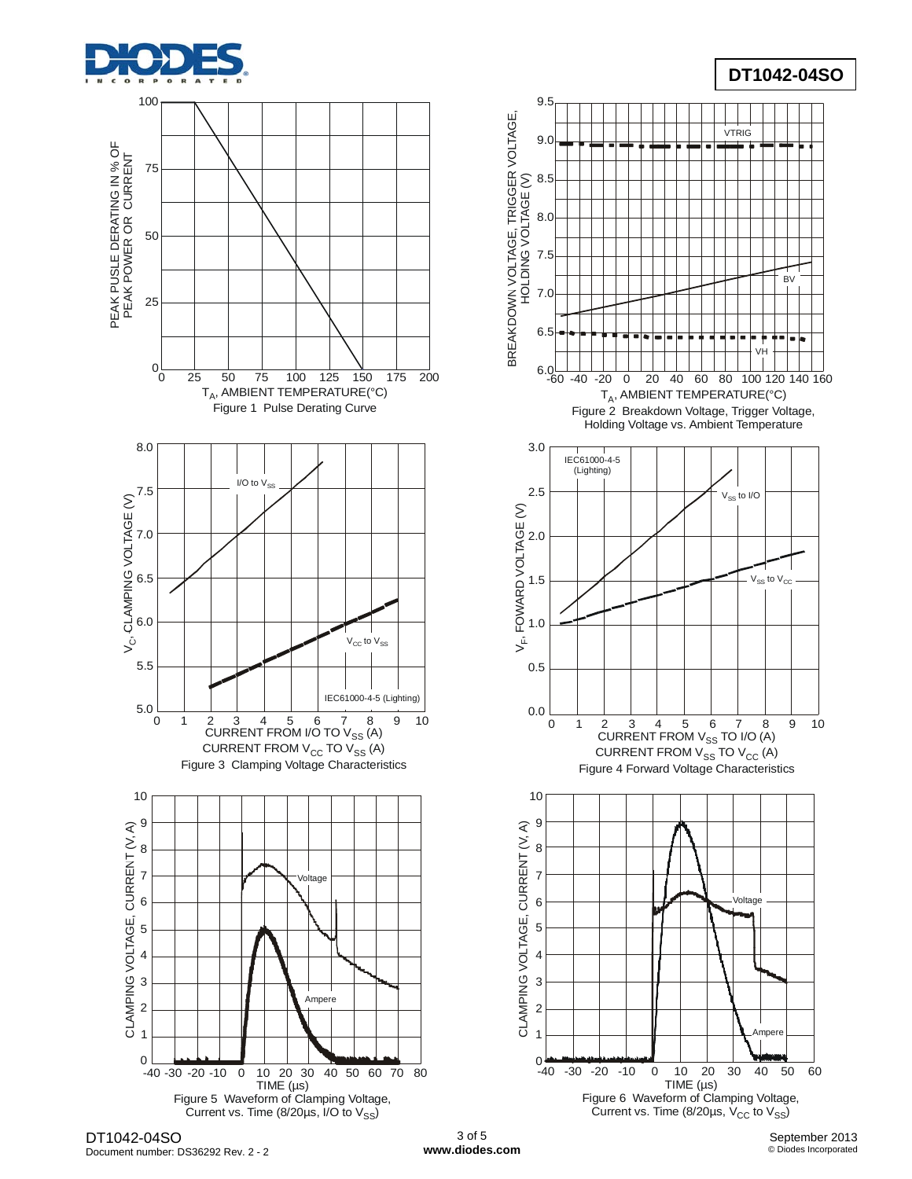







DT1042-04SO Document number: DS36292 Rev. 2 - 2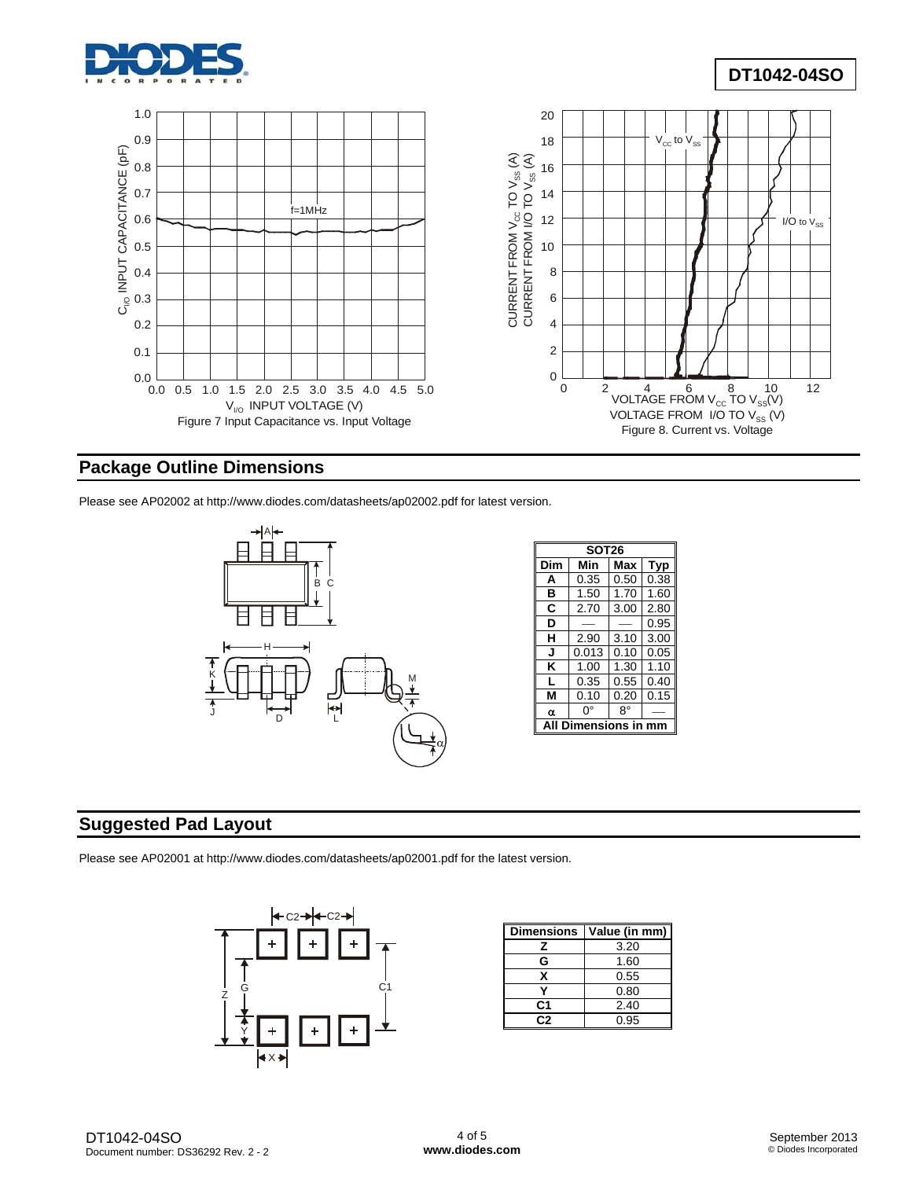



## **Package Outline Dimensions**

Please see AP02002 at [http://www.diodes.com/datasheets/ap02002.pdf fo](http://www.diodes.com/datasheets/ap02002.pdf)r latest version.



| <b>SOT26</b> |       |      |      |  |  |  |  |
|--------------|-------|------|------|--|--|--|--|
| Dim          | Min   | Max  | Typ  |  |  |  |  |
| A            | 0.35  | 0.50 | 0.38 |  |  |  |  |
| в            | 1.50  | 1.70 | 1.60 |  |  |  |  |
| C            | 2.70  | 3.00 | 2.80 |  |  |  |  |
| D            |       |      | 0.95 |  |  |  |  |
| н            | 2.90  | 3.10 | 3.00 |  |  |  |  |
| J            | 0.013 | 0.10 | 0.05 |  |  |  |  |
| κ            | 1.00  | 1.30 | 1.10 |  |  |  |  |
| L            | 0.35  | 0.55 | 0.40 |  |  |  |  |
| м            | 0.10  | 0.20 | 0.15 |  |  |  |  |
| α            | 0°    | R°   |      |  |  |  |  |
| ensions      |       |      |      |  |  |  |  |

## **Suggested Pad Layout**

Please see AP02001 at [http://www.diodes.com/datasheets/ap02001.pdf fo](http://www.diodes.com/datasheets/ap02001.pdf)r the latest version.



| <b>Dimensions</b> | Value (in mm) |  |  |
|-------------------|---------------|--|--|
| z                 | 3.20          |  |  |
| G                 | 1.60          |  |  |
| x                 | 0.55          |  |  |
|                   | 0.80          |  |  |
| C1                | 2.40          |  |  |
| C2                | 0.95          |  |  |